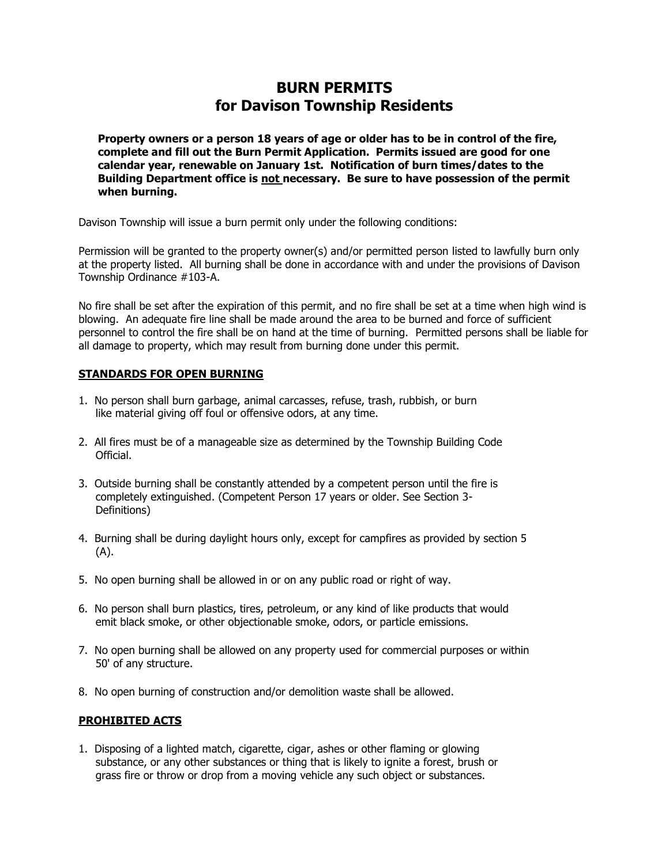## **BURN PERMITS for Davison Township Residents**

**Property owners or a person 18 years of age or older has to be in control of the fire, complete and fill out the Burn Permit Application. Permits issued are good for one calendar year, renewable on January 1st. Notification of burn times/dates to the Building Department office is not necessary. Be sure to have possession of the permit when burning.**

Davison Township will issue a burn permit only under the following conditions:

Permission will be granted to the property owner(s) and/or permitted person listed to lawfully burn only at the property listed. All burning shall be done in accordance with and under the provisions of Davison Township Ordinance #103-A.

No fire shall be set after the expiration of this permit, and no fire shall be set at a time when high wind is blowing. An adequate fire line shall be made around the area to be burned and force of sufficient personnel to control the fire shall be on hand at the time of burning. Permitted persons shall be liable for all damage to property, which may result from burning done under this permit.

## **STANDARDS FOR OPEN BURNING**

- 1. No person shall burn garbage, animal carcasses, refuse, trash, rubbish, or burn like material giving off foul or offensive odors, at any time.
- 2. All fires must be of a manageable size as determined by the Township Building Code Official.
- 3. Outside burning shall be constantly attended by a competent person until the fire is completely extinguished. (Competent Person 17 years or older. See Section 3- Definitions)
- 4. Burning shall be during daylight hours only, except for campfires as provided by section 5 (A).
- 5. No open burning shall be allowed in or on any public road or right of way.
- 6. No person shall burn plastics, tires, petroleum, or any kind of like products that would emit black smoke, or other objectionable smoke, odors, or particle emissions.
- 7. No open burning shall be allowed on any property used for commercial purposes or within 50' of any structure.
- 8. No open burning of construction and/or demolition waste shall be allowed.

## **PROHIBITED ACTS**

1. Disposing of a lighted match, cigarette, cigar, ashes or other flaming or glowing substance, or any other substances or thing that is likely to ignite a forest, brush or grass fire or throw or drop from a moving vehicle any such object or substances.